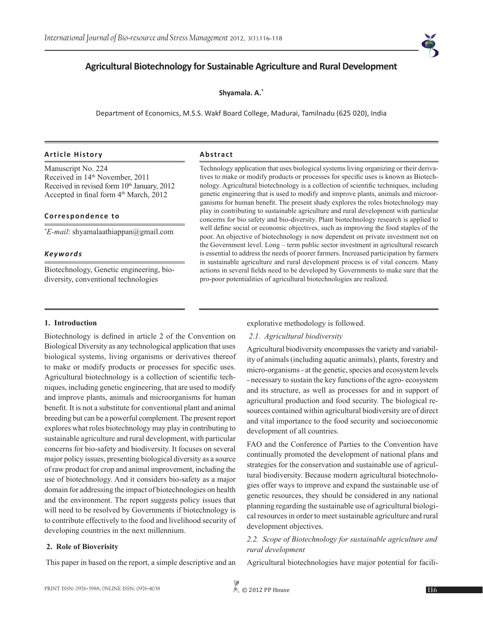# **Agricultural Biotechnology for Sustainable Agriculture and Rural Development**

**Shyamala. A.\***

Department of Economics, M.S.S. Wakf Board College, Madurai, Tamilnadu (625 020), India

#### **Article History Abstract**

Manuscript No. 224 Received in 14th November, 2011 Received in revised form  $10<sup>th</sup>$  January, 2012 Accepted in final form 4<sup>th</sup> March, 2012

### **Correspondence to**

*\* E-mail*: shyamalaathiappan@gmail.com

### *Keywords*

Biotechnology, Genetic engineering, biodiversity, conventional technologies

Technology application that uses biological systems living organizing or their derivatives to make or modify products or processes for specific uses is known as Biotechnology. Agricultural biotechnology is a collection of scientific techniques, including genetic engineering that is used to modify and improve plants, animals and microorganisms for human benefit. The present shady explores the roles biotechnology may play in contributing to sustainable agriculture and rural development with particular concerns for bio safety and bio-diversity. Plant biotechnology research is applied to well define social or economic objectives, such as improving the food staples of the poor. An objective of biotechnology is now dependent on private investment not on the Government level. Long – term public sector investment in agricultural research is essential to address the needs of poorer farmers. Increased participation by farmers in sustainable agriculture and rural development process is of vital concern. Many actions in several fields need to be developed by Governments to make sure that the pro-poor potentialities of agricultural biotechnologies are realized.

# **1. Introduction**

Biotechnology is defined in article 2 of the Convention on Biological Diversity as any technological application that uses biological systems, living organisms or derivatives thereof to make or modify products or processes for specific uses. Agricultural biotechnology is a collection of scientific techniques, including genetic engineering, that are used to modify and improve plants, animals and microorganisms for human benefit. It is not a substitute for conventional plant and animal breeding but can be a powerful complement. The present report explores what roles biotechnology may play in contributing to sustainable agriculture and rural development, with particular concerns for bio-safety and biodiversity. It focuses on several major policy issues, presenting biological diversity as a source of raw product for crop and animal improvement, including the use of biotechnology. And it considers bio-safety as a major domain for addressing the impact of biotechnologies on health and the environment. The report suggests policy issues that will need to be resolved by Governments if biotechnology is to contribute effectively to the food and livelihood security of developing countries in the next millennium.

# **2. Role of Bioverisity**

This paper in based on the report, a simple descriptive and an

# explorative methodology is followed.

#### *2.1. Agricultural biodiversity*

Agricultural biodiversity encompasses the variety and variability of animals (including aquatic animals), plants, forestry and micro-organisms - at the genetic, species and ecosystem levels - necessary to sustain the key functions of the agro- ecosystem and its structure, as well as processes for and in support of agricultural production and food security. The biological resources contained within agricultural biodiversity are of direct and vital importance to the food security and socioeconomic development of all countries.

FAO and the Conference of Parties to the Convention have continually promoted the development of national plans and strategies for the conservation and sustainable use of agricultural biodiversity. Because modern agricultural biotechnologies offer ways to improve and expand the sustainable use of genetic resources, they should be considered in any national planning regarding the sustainable use of agricultural biological resources in order to meet sustainable agriculture and rural development objectives.

*2.2. Scope of Biotechnology for sustainable agriculture and rural development*

Agricultural biotechnologies have major potential for facili-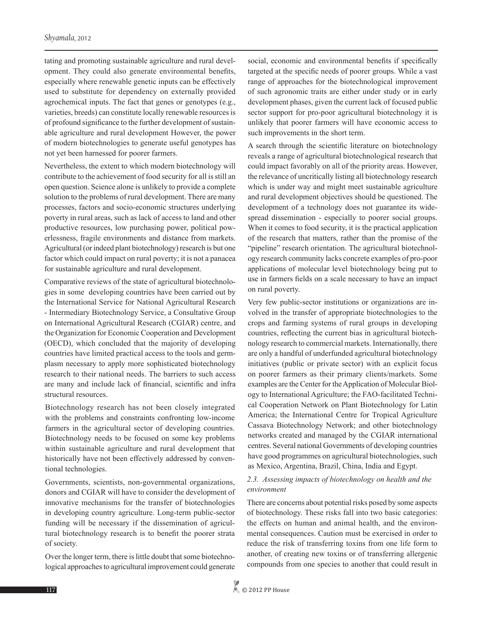tating and promoting sustainable agriculture and rural development. They could also generate environmental benefits, especially where renewable genetic inputs can be effectively used to substitute for dependency on externally provided agrochemical inputs. The fact that genes or genotypes (e.g., varieties, breeds) can constitute locally renewable resources is of profound significance to the further development of sustainable agriculture and rural development However, the power of modern biotechnologies to generate useful genotypes has not yet been harnessed for poorer farmers.

Nevertheless, the extent to which modern biotechnology will contribute to the achievement of food security for all is still an open question. Science alone is unlikely to provide a complete solution to the problems of rural development. There are many processes, factors and socio-economic structures underlying poverty in rural areas, such as lack of access to land and other productive resources, low purchasing power, political powerlessness, fragile environments and distance from markets. Agricultural (or indeed plant biotechnology) research is but one factor which could impact on rural poverty; it is not a panacea for sustainable agriculture and rural development.

Comparative reviews of the state of agricultural biotechnologies in some developing countries have been carried out by the International Service for National Agricultural Research - Intermediary Biotechnology Service, a Consultative Group on International Agricultural Research (CGIAR) centre, and the Organization for Economic Cooperation and Development (OECD), which concluded that the majority of developing countries have limited practical access to the tools and germplasm necessary to apply more sophisticated biotechnology research to their national needs. The barriers to such access are many and include lack of financial, scientific and infra structural resources.

Biotechnology research has not been closely integrated with the problems and constraints confronting low-income farmers in the agricultural sector of developing countries. Biotechnology needs to be focused on some key problems within sustainable agriculture and rural development that historically have not been effectively addressed by conventional technologies.

Governments, scientists, non-governmental organizations, donors and CGIAR will have to consider the development of innovative mechanisms for the transfer of biotechnologies in developing country agriculture. Long-term public-sector funding will be necessary if the dissemination of agricultural biotechnology research is to benefit the poorer strata of society.

Over the longer term, there is little doubt that some biotechnological approaches to agricultural improvement could generate social, economic and environmental benefits if specifically targeted at the specific needs of poorer groups. While a vast range of approaches for the biotechnological improvement of such agronomic traits are either under study or in early development phases, given the current lack of focused public sector support for pro-poor agricultural biotechnology it is unlikely that poorer farmers will have economic access to such improvements in the short term.

A search through the scientific literature on biotechnology reveals a range of agricultural biotechnological research that could impact favorably on all of the priority areas. However, the relevance of uncritically listing all biotechnology research which is under way and might meet sustainable agriculture and rural development objectives should be questioned. The development of a technology does not guarantee its widespread dissemination - especially to poorer social groups. When it comes to food security, it is the practical application of the research that matters, rather than the promise of the "pipeline" research orientation. The agricultural biotechnology research community lacks concrete examples of pro-poor applications of molecular level biotechnology being put to use in farmers fields on a scale necessary to have an impact on rural poverty.

Very few public-sector institutions or organizations are involved in the transfer of appropriate biotechnologies to the crops and farming systems of rural groups in developing countries, reflecting the current bias in agricultural biotechnology research to commercial markets. Internationally, there are only a handful of underfunded agricultural biotechnology initiatives (public or private sector) with an explicit focus on poorer farmers as their primary clients/markets. Some examples are the Center for the Application of Molecular Biology to International Agriculture; the FAO-facilitated Technical Cooperation Network on Plant Biotechnology for Latin America; the International Centre for Tropical Agriculture Cassava Biotechnology Network; and other biotechnology networks created and managed by the CGIAR international centres. Several national Governments of developing countries have good programmes on agricultural biotechnologies, such as Mexico, Argentina, Brazil, China, India and Egypt.

# *2.3. Assessing impacts of biotechnology on health and the environment*

There are concerns about potential risks posed by some aspects of biotechnology. These risks fall into two basic categories: the effects on human and animal health, and the environmental consequences. Caution must be exercised in order to reduce the risk of transferring toxins from one life form to another, of creating new toxins or of transferring allergenic compounds from one species to another that could result in